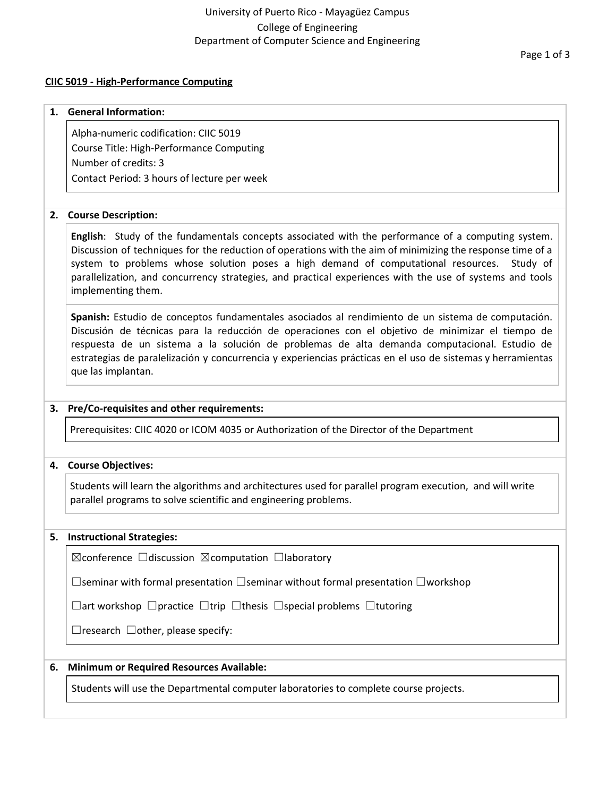# University of Puerto Rico - Mayagüez Campus College of Engineering Department of Computer Science and Engineering

#### **CIIC 5019 - High-Performance Computing**

# **1. General Information:** Alpha-numeric codification: CIIC 5019 Course Title: High-Performance Computing

Number of credits: 3 Contact Period: 3 hours of lecture per week

## **2. Course Description:**

**English**: Study of the fundamentals concepts associated with the performance of a computing system. Discussion of techniques for the reduction of operations with the aim of minimizing the response time of a system to problems whose solution poses a high demand of computational resources. Study of parallelization, and concurrency strategies, and practical experiences with the use of systems and tools implementing them.

**Spanish:** Estudio de conceptos fundamentales asociados al rendimiento de un sistema de computación. Discusión de técnicas para la reducción de operaciones con el objetivo de minimizar el tiempo de respuesta de un sistema a la solución de problemas de alta demanda computacional. Estudio de estrategias de paralelización y concurrencia y experiencias prácticas en el uso de sistemas y herramientas que las implantan.

## **3. Pre/Co-requisites and other requirements:**

Prerequisites: CIIC 4020 or ICOM 4035 or Authorization of the Director of the Department

## **4. Course Objectives:**

Students will learn the algorithms and architectures used for parallel program execution, and will write parallel programs to solve scientific and engineering problems.

## **5. Instructional Strategies:**

☒conference ☐discussion ☒computation ☐laboratory

☐seminar with formal presentation ☐seminar without formal presentation ☐workshop

☐art workshop ☐practice ☐trip ☐thesis ☐special problems ☐tutoring

 $\Box$ research  $\Box$ other, please specify:

# **6. Minimum or Required Resources Available:**

Students will use the Departmental computer laboratories to complete course projects.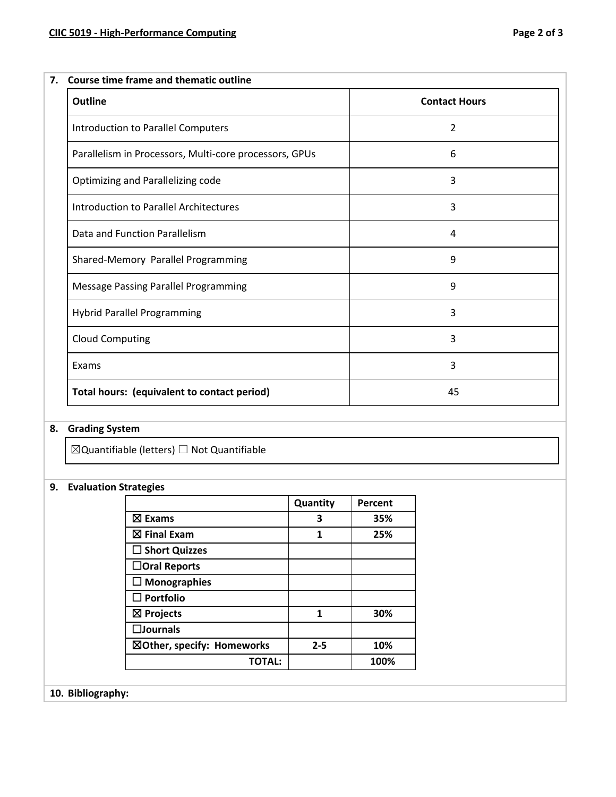| <b>Outline</b>                                         | <b>Contact Hours</b> |
|--------------------------------------------------------|----------------------|
| Introduction to Parallel Computers                     | 2                    |
| Parallelism in Processors, Multi-core processors, GPUs | 6                    |
| Optimizing and Parallelizing code                      | 3                    |
| Introduction to Parallel Architectures                 | 3                    |
| Data and Function Parallelism                          | 4                    |
| Shared-Memory Parallel Programming                     | 9                    |
| Message Passing Parallel Programming                   | 9                    |
| Hybrid Parallel Programming                            | 3                    |
| <b>Cloud Computing</b>                                 | 3                    |
| Exams                                                  | 3                    |
| Total hours: (equivalent to contact period)            | 45                   |

# **8. Grading System**

 $\boxtimes$ Quantifiable (letters)  $\Box$  Not Quantifiable

# **9. Evaluation Strategies**

|                            | Quantity | Percent |
|----------------------------|----------|---------|
| $\boxtimes$ Exams          | 3        | 35%     |
| $\boxtimes$ Final Exam     | 1        | 25%     |
| $\square$ Short Quizzes    |          |         |
| $\Box$ Oral Reports        |          |         |
| $\Box$ Monographies        |          |         |
| $\Box$ Portfolio           |          |         |
| $\boxtimes$ Projects       | 1        | 30%     |
| $\square$ Journals         |          |         |
| ⊠Other, specify: Homeworks | $2 - 5$  | 10%     |
| <b>TOTAL:</b>              |          | 100%    |

**10. Bibliography:**